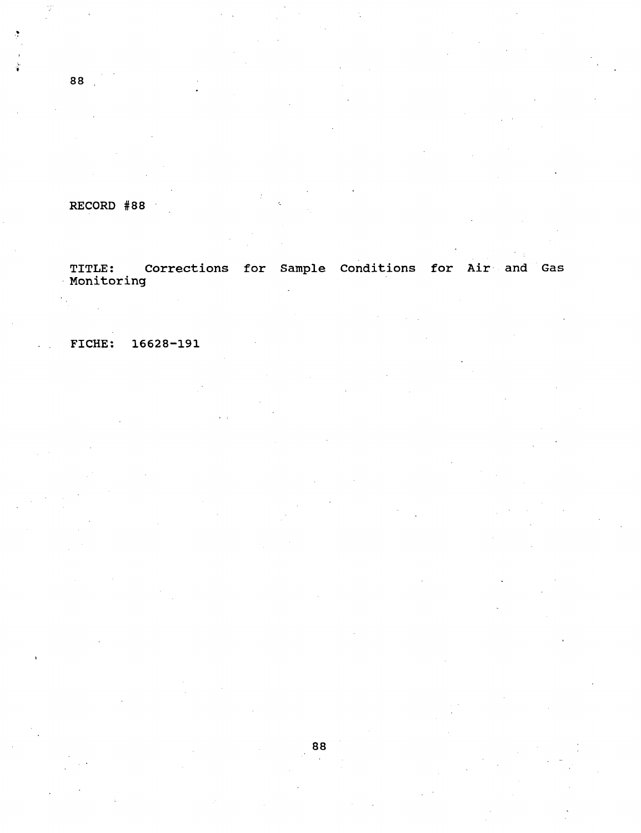RECORD #88

Corrections for Sample Conditions for Air and Gas TITLE: C<br>Monitoring

FICHE: 16628-191

88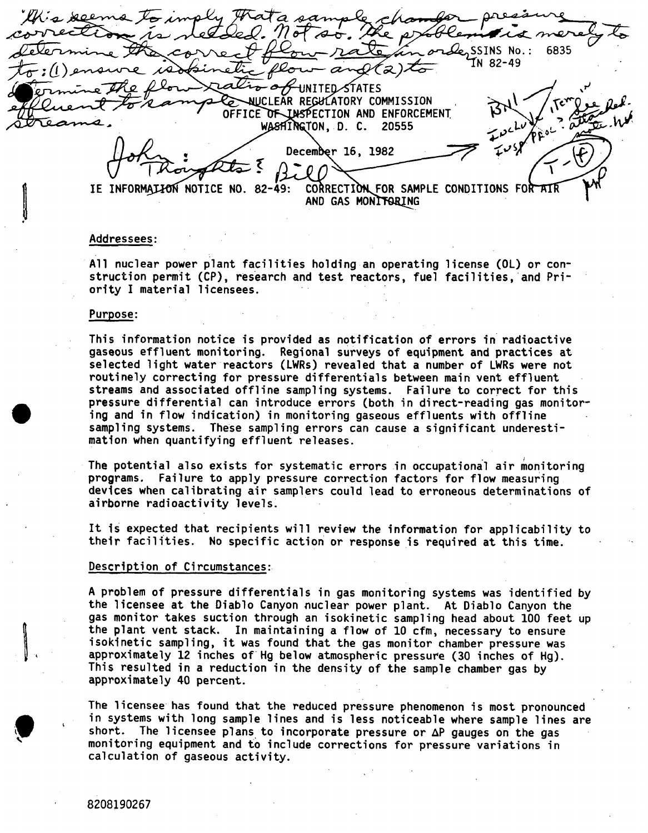$7$  of  $\approx$  $\mathcal{L}_2$  ssins no.: 6835 IN 82-49  $(z)$ to ‱MITED STATES -0 **COLATORY COMMISSION**<br>OFFICE OF INSPECTION AND ENFORCEMENT WASHINGTON, D. C. 20555 December 16, 1982 IE INFORMALION NOTICE NO. 82-49: CORRECTION FOR SAMPLE CONDITIONS FOR AIR **AND GAS MONITORING** 

## Addressees:

All nuclear power plant facilities holding an operating license (OL) or construction permit (CP), research and test reactors, fuel facilities, and Priority I material licensees.

## Purpose:

This information notice is provided as notification of errors in radioactive gaseous effluent monitoring. Regional surveys of equipment and practices at selected light water reactors (LWRs) revealed that a number of LWRs were not routinely correcting for pressure differentials between main vent effluent streams and associated offline sampling systems. Failure to correct for this pressure differential can introduce errors (both in direct-reading gas monitoring and in flow indication) in monitoring gaseous effluents with offline sampling systems. These sampling errors can cause a significant underestimation when quantifying effluent releases.

The potential also exists for systematic errors in occupational air monitoring programs. Failure to apply pressure correction factors for flow measuring devices when calibrating air samplers could lead to erroneous determinations of airborne radioactivity levels.

It is expected that recipients will review the information for applicability to their facilities. No specific action or response is required at this time.

## Description of Circumstances:

A problem of pressure differentials in gas monitoring systems was identified by the licensee at the Diablo Canyon nuclear power plant. At Diablo Canyon the gas monitor takes suction through an isokinetic sampling head about 100 feet up the plant vent stack. In maintaining a flow of 10 cfm, necessary to ensure isokinetic sampling, it was found that the gas monitor chamber pressure was approximately 12 inches of Hg below atmospheric pressure (30 inches of Hg). This resulted in a reduction in the density of the sample chamber gas by approximately 40 percent.

The licensee has found that the reduced pressure phenomenon is most pronounced in systems with long sample lines and is less noticeable where sample lines are short. The licensee plans to incorporate pressure or  $\Delta P$  gauges on the gas monitoring equipment and to include corrections for pressure variations in calculation of gaseous activity.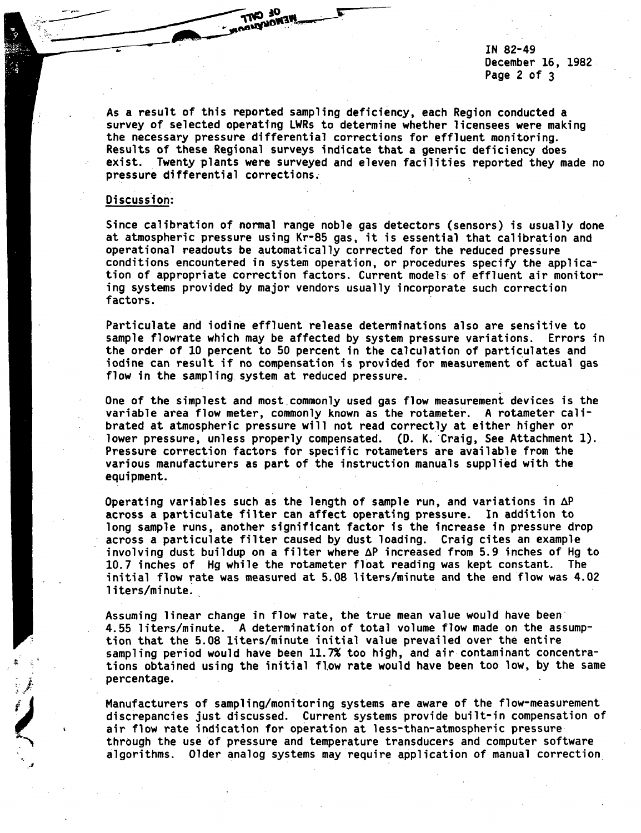IN 82-49 December 16, 1982 Page 2 of 3

As a result of this reported sampling deficiency, each Region conducted a survey of selected operating LWRs to determine whether licensees were making the necessary pressure differential corrections for effluent monitoring. Results of these Regional surveys indicate that a generic deficiency does exist. Twenty plants were surveyed and eleven facilities reported they made no pressure differential corrections.

**HOURS AND ME** 

## Discussion:

Since calibration of normal range noble gas detectors (sensors) is usually done at atmospheric pressure using Kr-85 gas, it is essential that calibration and operational readouts be automatically corrected for the reduced pressure conditions encountered in system operation, or procedures specify the application of appropriate correction factors. Current models of effluent air monitoring systems provided by major vendors usually incorporate such correction factors.

Particulate and iodine effluent release determinations also are sensitive to sample flowrate which may be affected by system pressure variations. Errors in the order of 10 percent to 50 percent in the calculation of particulates and iodine can result if no compensation is provided for measurement of actual gas flow in the sampling system at reduced pressure.

One of the simplest and most commonly used gas flow measurement devices is the variable area flow meter, commonly known as the rotameter. A rotameter calibrated at atmospheric pressure will not read correctly at either higher or lower pressure, unless properly compensated. (D. K. Craig, See Attachment 1). Pressure correction factors for specific rotameters are available from the various manufacturers as part of the instruction manuals supplied with the equipment.

Operating variables such as the length of sample run, and variations in  $\Delta P$ across a particulate filter can affect operating pressure. In addition to long sample runs, another significant factor is the increase in pressure drop across a particulate filter caused by dust loading. Craig cites an example involving dust buildup on a filter where  $\Delta P$  increased from 5.9 inches of Hg to 10.7 inches of Hg while the rotameter float reading was kept constant. The initial flow rate was measured at 5.08 liters/minute and the end flow was 4.02 liters/minute.

Assuming linear change in flow rate, the true mean value would have been 4.55 liters/minute. A determination of total volume flow made on the assumption that the 5.08 liters/minute initial value prevailed over the entire sampling period would have been 11.7% too high, and air contaminant concentrations obtained using the initial flow rate would have been too low, by the same percentage.

Manufacturers of sampling/monitoring systems are aware of the flow-measurement discrepancies just discussed. Current systems provide built-in compensation of air flow rate indication for operation at less-than-atmospheric pressure through the use of pressure and temperature transducers and computer software algorithms. Older analog systems may require application of manual correction